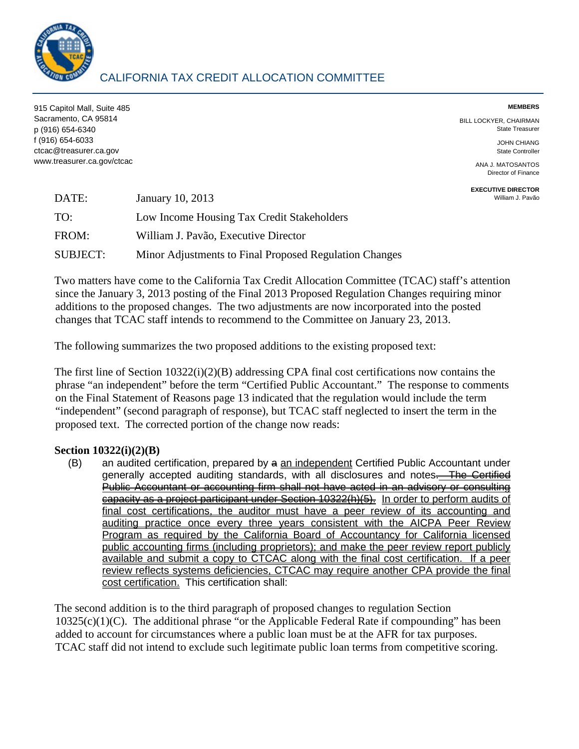915 Capitol Mall, Suite 485 **MEMBERS**  Sacramento, CA 95814 BILL LOCKYER, CHAIRMAN p (916) 654-6340 State Treasurer f (916) 654-6033 JOHN CHIANG ctcac@treasurer.ca.gov State Controller www.treasurer.ca.gov/ctcac ANA J. MATOSANTOS

Director of Finance

**EXECUTIVE DIRECTOR**<br>William J. Pavão

| DATE:           | January 10, 2013                                       | William J. Pavão |
|-----------------|--------------------------------------------------------|------------------|
| TO:             | Low Income Housing Tax Credit Stakeholders             |                  |
| FROM:           | William J. Pavão, Executive Director                   |                  |
| <b>SUBJECT:</b> | Minor Adjustments to Final Proposed Regulation Changes |                  |

 Two matters have come to the California Tax Credit Allocation Committee (TCAC) staff's attention changes that TCAC staff intends to recommend to the Committee on January 23, 2013. since the January 3, 2013 posting of the Final 2013 Proposed Regulation Changes requiring minor additions to the proposed changes. The two adjustments are now incorporated into the posted

The following summarizes the two proposed additions to the existing proposed text:

The first line of Section 10322(i)(2)(B) addressing CPA final cost certifications now contains the phrase "an independent" before the term "Certified Public Accountant." The response to comments on the Final Statement of Reasons page 13 indicated that the regulation would include the term "independent" (second paragraph of response), but TCAC staff neglected to insert the term in the proposed text. The corrected portion of the change now reads:

## **Section 10322(i)(2)(B)**

(B) an audited certification, prepared by a an independent Certified Public Accountant under generally accepted auditing standards, with all disclosures and notes<del>. The Certified</del> Public Accountant or accounting firm shall not have acted in an advisory or consulting capacity as a project participant under Section 10322(h)(5). In order to perform audits of final cost certifications, the auditor must have a peer review of its accounting and auditing practice once every three years consistent with the AICPA Peer Review available and submit a copy to CTCAC along with the final cost certification. If a peer cost certification. This certification shall: Program as required by the California Board of Accountancy for California licensed public accounting firms (including proprietors); and make the peer review report publicly review reflects systems deficiencies, CTCAC may require another CPA provide the final

The second addition is to the third paragraph of proposed changes to regulation Section  $10325(c)(1)(C)$ . The additional phrase "or the Applicable Federal Rate if compounding" has been added to account for circumstances where a public loan must be at the AFR for tax purposes. TCAC staff did not intend to exclude such legitimate public loan terms from competitive scoring.

## CALIFORNIA TAX CREDIT ALLOCATION COMMITTEE